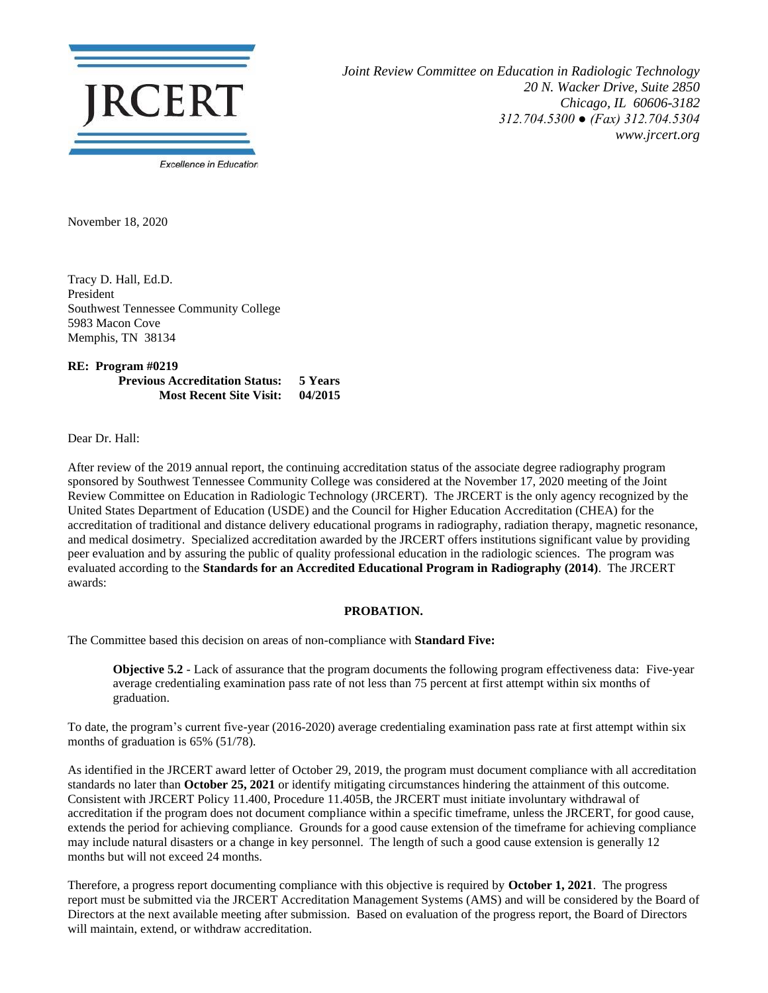

*Joint Review Committee on Education in Radiologic Technology 20 N. Wacker Drive, Suite 2850 Chicago, IL 60606-3182 312.704.5300 ● (Fax) 312.704.5304 www.jrcert.org*

November 18, 2020

Tracy D. Hall, Ed.D. President Southwest Tennessee Community College 5983 Macon Cove Memphis, TN 38134

**RE: Program #0219 Previous Accreditation Status: 5 Years Most Recent Site Visit: 04/2015**

Dear Dr. Hall:

After review of the 2019 annual report, the continuing accreditation status of the associate degree radiography program sponsored by Southwest Tennessee Community College was considered at the November 17, 2020 meeting of the Joint Review Committee on Education in Radiologic Technology (JRCERT). The JRCERT is the only agency recognized by the United States Department of Education (USDE) and the Council for Higher Education Accreditation (CHEA) for the accreditation of traditional and distance delivery educational programs in radiography, radiation therapy, magnetic resonance, and medical dosimetry. Specialized accreditation awarded by the JRCERT offers institutions significant value by providing peer evaluation and by assuring the public of quality professional education in the radiologic sciences. The program was evaluated according to the **Standards for an Accredited Educational Program in Radiography (2014)**. The JRCERT awards:

## **PROBATION.**

The Committee based this decision on areas of non-compliance with **Standard Five:**

**Objective 5.2** - Lack of assurance that the program documents the following program effectiveness data: Five-year average credentialing examination pass rate of not less than 75 percent at first attempt within six months of graduation.

To date, the program's current five-year (2016-2020) average credentialing examination pass rate at first attempt within six months of graduation is 65% (51/78).

As identified in the JRCERT award letter of October 29, 2019, the program must document compliance with all accreditation standards no later than **October 25, 2021** or identify mitigating circumstances hindering the attainment of this outcome. Consistent with JRCERT Policy 11.400, Procedure 11.405B, the JRCERT must initiate involuntary withdrawal of accreditation if the program does not document compliance within a specific timeframe, unless the JRCERT, for good cause, extends the period for achieving compliance. Grounds for a good cause extension of the timeframe for achieving compliance may include natural disasters or a change in key personnel. The length of such a good cause extension is generally 12 months but will not exceed 24 months.

Therefore, a progress report documenting compliance with this objective is required by **October 1, 2021**. The progress report must be submitted via the JRCERT Accreditation Management Systems (AMS) and will be considered by the Board of Directors at the next available meeting after submission. Based on evaluation of the progress report, the Board of Directors will maintain, extend, or withdraw accreditation.